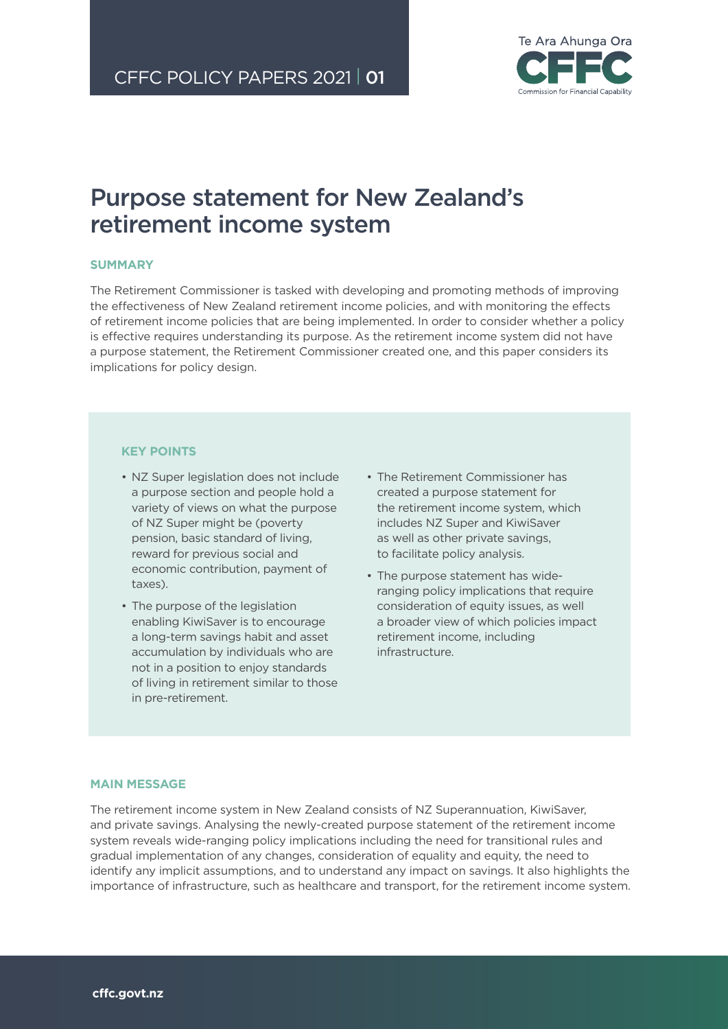

# Purpose statement for New Zealand's retirement income system

## **SUMMARY**

The Retirement Commissioner is tasked with developing and promoting methods of improving the effectiveness of New Zealand retirement income policies, and with monitoring the effects of retirement income policies that are being implemented. In order to consider whether a policy is effective requires understanding its purpose. As the retirement income system did not have a purpose statement, the Retirement Commissioner created one, and this paper considers its implications for policy design.

## **KEY POINTS**

- N7 Super legislation does not include a purpose section and people hold a variety of views on what the purpose of NZ Super might be (poverty pension, basic standard of living, reward for previous social and economic contribution, payment of taxes).
- The purpose of the legislation enabling KiwiSaver is to encourage a long-term savings habit and asset accumulation by individuals who are not in a position to enjoy standards of living in retirement similar to those in pre-retirement.
- The Retirement Commissioner has created a purpose statement for the retirement income system, which includes NZ Super and KiwiSaver as well as other private savings, to facilitate policy analysis.
- The purpose statement has wideranging policy implications that require consideration of equity issues, as well a broader view of which policies impact retirement income, including infrastructure.

## **MAIN MESSAGE**

The retirement income system in New Zealand consists of NZ Superannuation, KiwiSaver, and private savings. Analysing the newly-created purpose statement of the retirement income system reveals wide-ranging policy implications including the need for transitional rules and gradual implementation of any changes, consideration of equality and equity, the need to identify any implicit assumptions, and to understand any impact on savings. It also highlights the importance of infrastructure, such as healthcare and transport, for the retirement income system.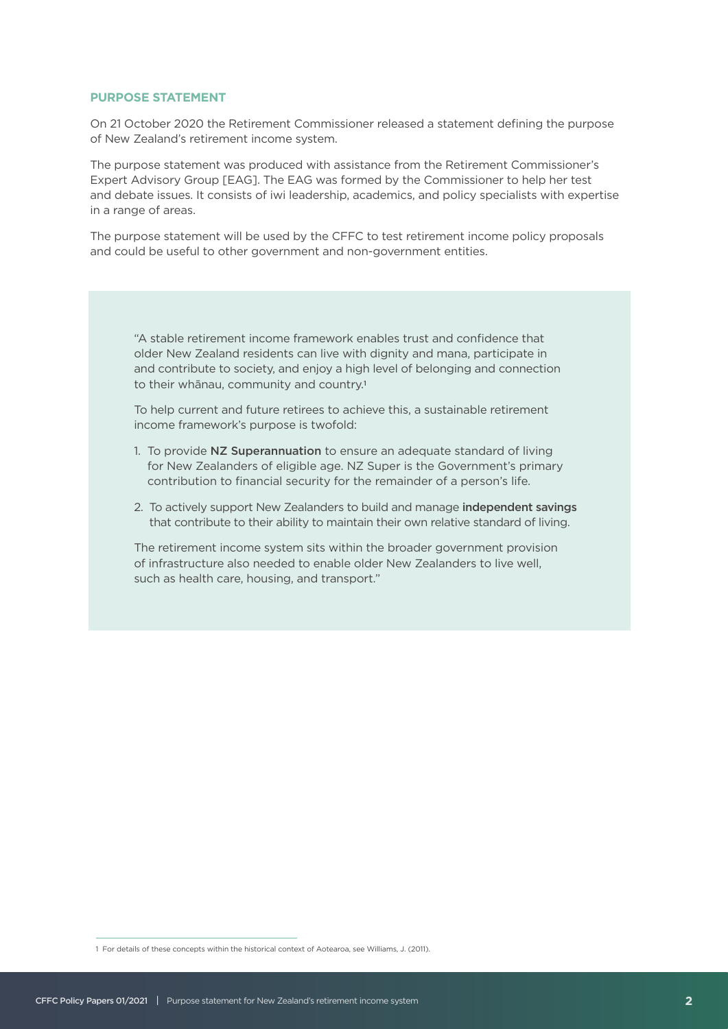## **PURPOSE STATEMENT**

On 21 October 2020 the Retirement Commissioner released a statement defining the purpose of New Zealand's retirement income system.

The purpose statement was produced with assistance from the Retirement Commissioner's Expert Advisory Group [EAG]. The EAG was formed by the Commissioner to help her test and debate issues. It consists of iwi leadership, academics, and policy specialists with expertise in a range of areas.

The purpose statement will be used by the CFFC to test retirement income policy proposals and could be useful to other government and non-government entities.

"A stable retirement income framework enables trust and confidence that older New Zealand residents can live with dignity and mana, participate in and contribute to society, and enjoy a high level of belonging and connection to their whānau, community and country.<sup>1</sup>

To help current and future retirees to achieve this, a sustainable retirement income framework's purpose is twofold:

- 1. To provide NZ Superannuation to ensure an adequate standard of living for New Zealanders of eligible age. NZ Super is the Government's primary contribution to financial security for the remainder of a person's life.
- 2. To actively support New Zealanders to build and manage independent savings that contribute to their ability to maintain their own relative standard of living.

The retirement income system sits within the broader government provision of infrastructure also needed to enable older New Zealanders to live well, such as health care, housing, and transport."

<sup>1</sup> For details of these concepts within the historical context of Aotearoa, see Williams, J. (2011).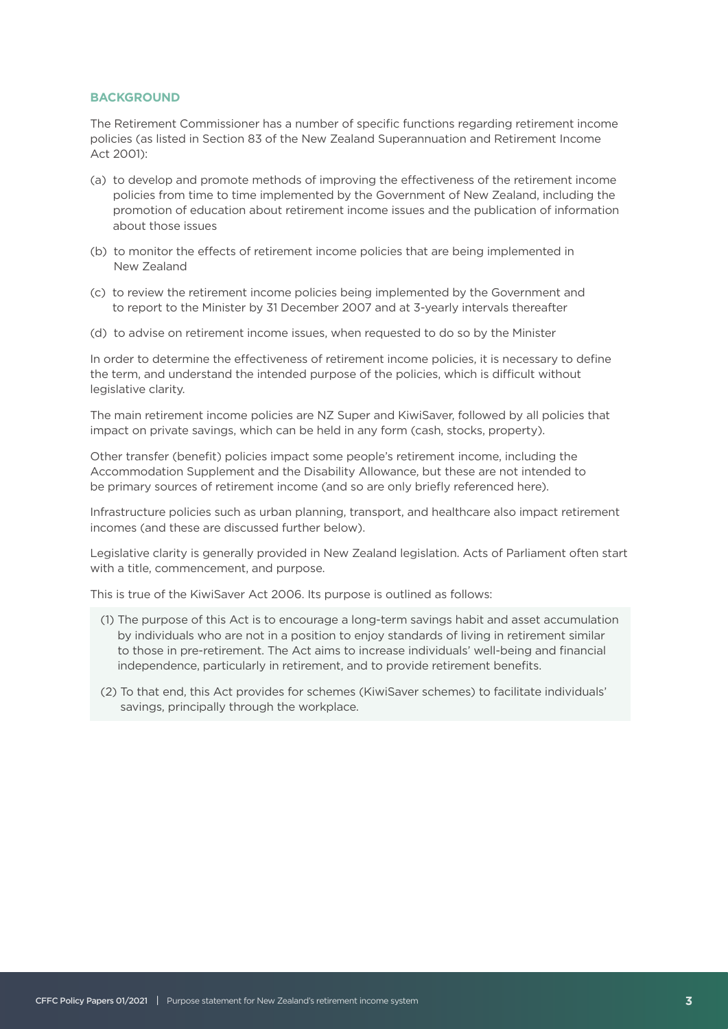### **BACKGROUND**

The Retirement Commissioner has a number of specific functions regarding retirement income policies (as listed in Section 83 of the New Zealand Superannuation and Retirement Income Act 2001):

- (a) to develop and promote methods of improving the effectiveness of the retirement income policies from time to time implemented by the Government of New Zealand, including the promotion of education about retirement income issues and the publication of information about those issues
- (b) to monitor the effects of retirement income policies that are being implemented in New Zealand
- (c) to review the retirement income policies being implemented by the Government and to report to the Minister by 31 December 2007 and at 3-yearly intervals thereafter
- (d) to advise on retirement income issues, when requested to do so by the Minister

In order to determine the effectiveness of retirement income policies, it is necessary to define the term, and understand the intended purpose of the policies, which is difficult without legislative clarity.

The main retirement income policies are NZ Super and KiwiSaver, followed by all policies that impact on private savings, which can be held in any form (cash, stocks, property).

Other transfer (benefit) policies impact some people's retirement income, including the Accommodation Supplement and the Disability Allowance, but these are not intended to be primary sources of retirement income (and so are only briefly referenced here).

Infrastructure policies such as urban planning, transport, and healthcare also impact retirement incomes (and these are discussed further below).

Legislative clarity is generally provided in New Zealand legislation. Acts of Parliament often start with a title, commencement, and purpose.

This is true of the KiwiSaver Act 2006. Its purpose is outlined as follows:

- (1) The purpose of this Act is to encourage a long-term savings habit and asset accumulation by individuals who are not in a position to enjoy standards of living in retirement similar to those in pre-retirement. The Act aims to increase individuals' well-being and financial independence, particularly in retirement, and to provide retirement benefits.
- (2) To that end, this Act provides for schemes (KiwiSaver schemes) to facilitate individuals' savings, principally through the workplace.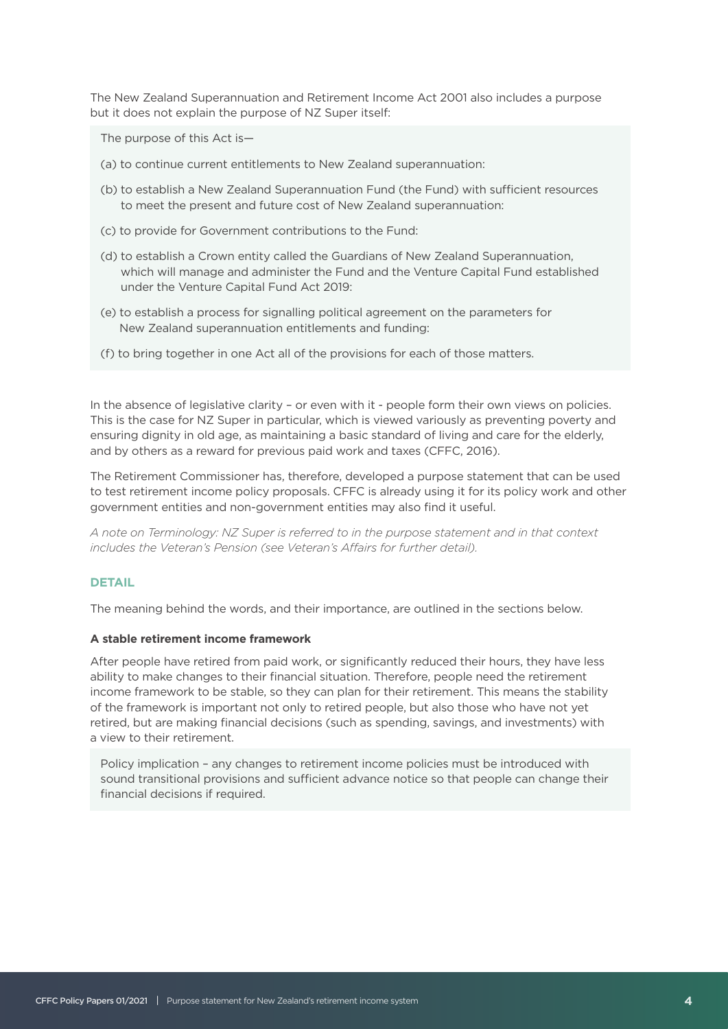The New Zealand Superannuation and Retirement Income Act 2001 also includes a purpose but it does not explain the purpose of NZ Super itself:

The purpose of this Act is—

- (a) to continue current entitlements to New Zealand superannuation:
- (b) to establish a New Zealand Superannuation Fund (the Fund) with sufficient resources to meet the present and future cost of New Zealand superannuation:
- (c) to provide for Government contributions to the Fund:
- (d) to establish a Crown entity called the Guardians of New Zealand Superannuation, which will manage and administer the Fund and the Venture Capital Fund established under the Venture Capital Fund Act 2019:
- (e) to establish a process for signalling political agreement on the parameters for New Zealand superannuation entitlements and funding:
- (f) to bring together in one Act all of the provisions for each of those matters.

In the absence of legislative clarity – or even with it - people form their own views on policies. This is the case for NZ Super in particular, which is viewed variously as preventing poverty and ensuring dignity in old age, as maintaining a basic standard of living and care for the elderly, and by others as a reward for previous paid work and taxes (CFFC, 2016).

The Retirement Commissioner has, therefore, developed a purpose statement that can be used to test retirement income policy proposals. CFFC is already using it for its policy work and other government entities and non-government entities may also find it useful.

*A note on Terminology: NZ Super is referred to in the purpose statement and in that context includes the Veteran's Pension (see Veteran's Affairs for further detail).* 

#### **DETAIL**

The meaning behind the words, and their importance, are outlined in the sections below.

#### **A stable retirement income framework**

After people have retired from paid work, or significantly reduced their hours, they have less ability to make changes to their financial situation. Therefore, people need the retirement income framework to be stable, so they can plan for their retirement. This means the stability of the framework is important not only to retired people, but also those who have not yet retired, but are making financial decisions (such as spending, savings, and investments) with a view to their retirement.

Policy implication – any changes to retirement income policies must be introduced with sound transitional provisions and sufficient advance notice so that people can change their financial decisions if required.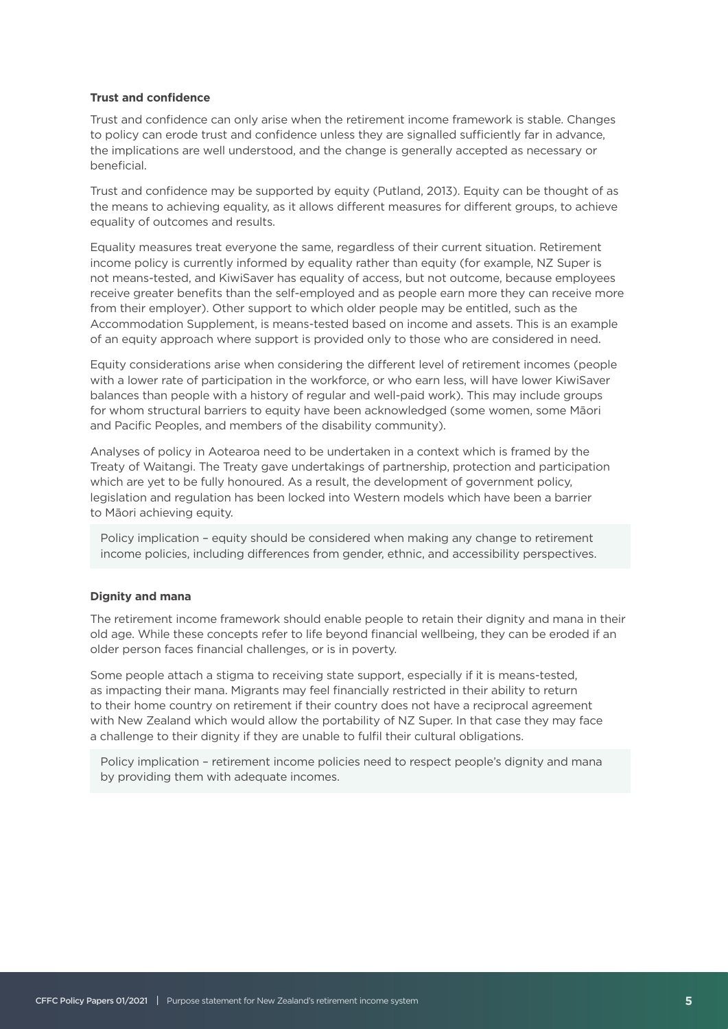#### **Trust and confidence**

Trust and confidence can only arise when the retirement income framework is stable. Changes to policy can erode trust and confidence unless they are signalled sufficiently far in advance, the implications are well understood, and the change is generally accepted as necessary or beneficial.

Trust and confidence may be supported by equity (Putland, 2013). Equity can be thought of as the means to achieving equality, as it allows different measures for different groups, to achieve equality of outcomes and results.

Equality measures treat everyone the same, regardless of their current situation. Retirement income policy is currently informed by equality rather than equity (for example, NZ Super is not means-tested, and KiwiSaver has equality of access, but not outcome, because employees receive greater benefits than the self-employed and as people earn more they can receive more from their employer). Other support to which older people may be entitled, such as the Accommodation Supplement, is means-tested based on income and assets. This is an example of an equity approach where support is provided only to those who are considered in need.

Equity considerations arise when considering the different level of retirement incomes (people with a lower rate of participation in the workforce, or who earn less, will have lower KiwiSaver balances than people with a history of regular and well-paid work). This may include groups for whom structural barriers to equity have been acknowledged (some women, some Māori and Pacific Peoples, and members of the disability community).

Analyses of policy in Aotearoa need to be undertaken in a context which is framed by the Treaty of Waitangi. The Treaty gave undertakings of partnership, protection and participation which are yet to be fully honoured. As a result, the development of government policy, legislation and regulation has been locked into Western models which have been a barrier to Māori achieving equity.

Policy implication – equity should be considered when making any change to retirement income policies, including differences from gender, ethnic, and accessibility perspectives.

## **Dignity and mana**

The retirement income framework should enable people to retain their dignity and mana in their old age. While these concepts refer to life beyond financial wellbeing, they can be eroded if an older person faces financial challenges, or is in poverty.

Some people attach a stigma to receiving state support, especially if it is means-tested, as impacting their mana. Migrants may feel financially restricted in their ability to return to their home country on retirement if their country does not have a reciprocal agreement with New Zealand which would allow the portability of NZ Super. In that case they may face a challenge to their dignity if they are unable to fulfil their cultural obligations.

Policy implication – retirement income policies need to respect people's dignity and mana by providing them with adequate incomes.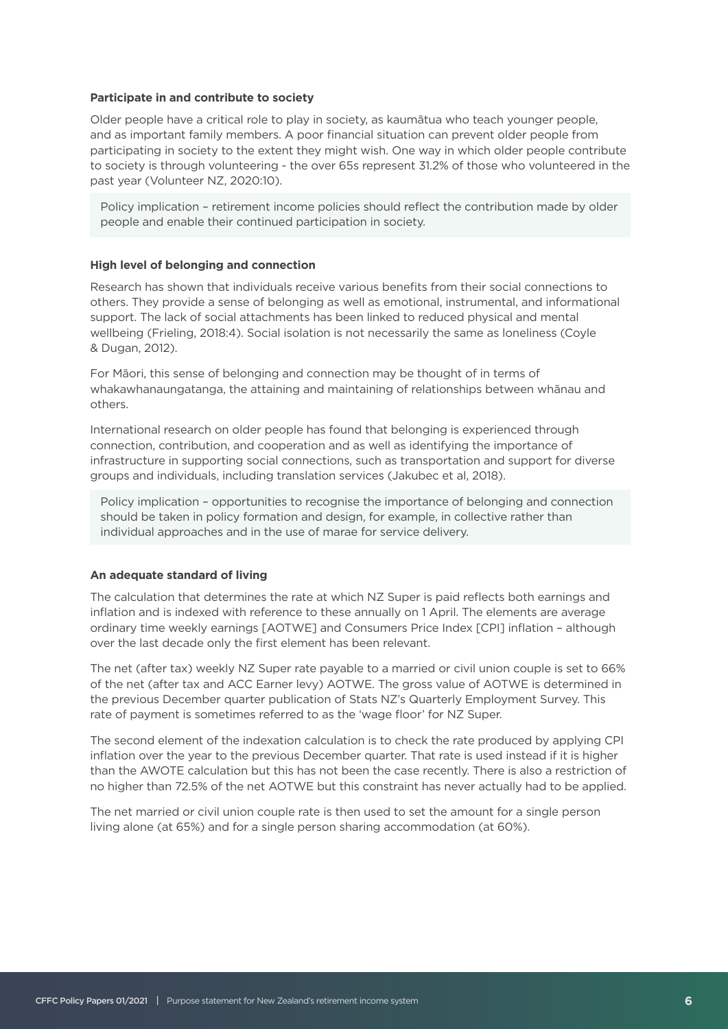#### **Participate in and contribute to society**

Older people have a critical role to play in society, as kaumātua who teach younger people, and as important family members. A poor financial situation can prevent older people from participating in society to the extent they might wish. One way in which older people contribute to society is through volunteering - the over 65s represent 31.2% of those who volunteered in the past year (Volunteer NZ, 2020:10).

Policy implication - retirement income policies should reflect the contribution made by older people and enable their continued participation in society.

### **High level of belonging and connection**

Research has shown that individuals receive various benefits from their social connections to others. They provide a sense of belonging as well as emotional, instrumental, and informational support. The lack of social attachments has been linked to reduced physical and mental wellbeing (Frieling, 2018:4). Social isolation is not necessarily the same as loneliness (Coyle & Dugan, 2012).

For Māori, this sense of belonging and connection may be thought of in terms of whakawhanaungatanga, the attaining and maintaining of relationships between whānau and others.

International research on older people has found that belonging is experienced through connection, contribution, and cooperation and as well as identifying the importance of infrastructure in supporting social connections, such as transportation and support for diverse groups and individuals, including translation services (Jakubec et al, 2018).

Policy implication – opportunities to recognise the importance of belonging and connection should be taken in policy formation and design, for example, in collective rather than individual approaches and in the use of marae for service delivery.

#### **An adequate standard of living**

The calculation that determines the rate at which NZ Super is paid reflects both earnings and inflation and is indexed with reference to these annually on 1 April. The elements are average ordinary time weekly earnings [AOTWE] and Consumers Price Index [CPI] inflation – although over the last decade only the first element has been relevant.

The net (after tax) weekly NZ Super rate payable to a married or civil union couple is set to 66% of the net (after tax and ACC Earner levy) AOTWE. The gross value of AOTWE is determined in the previous December quarter publication of Stats NZ's Quarterly Employment Survey. This rate of payment is sometimes referred to as the 'wage floor' for NZ Super.

The second element of the indexation calculation is to check the rate produced by applying CPI inflation over the year to the previous December quarter. That rate is used instead if it is higher than the AWOTE calculation but this has not been the case recently. There is also a restriction of no higher than 72.5% of the net AOTWE but this constraint has never actually had to be applied.

The net married or civil union couple rate is then used to set the amount for a single person living alone (at 65%) and for a single person sharing accommodation (at 60%).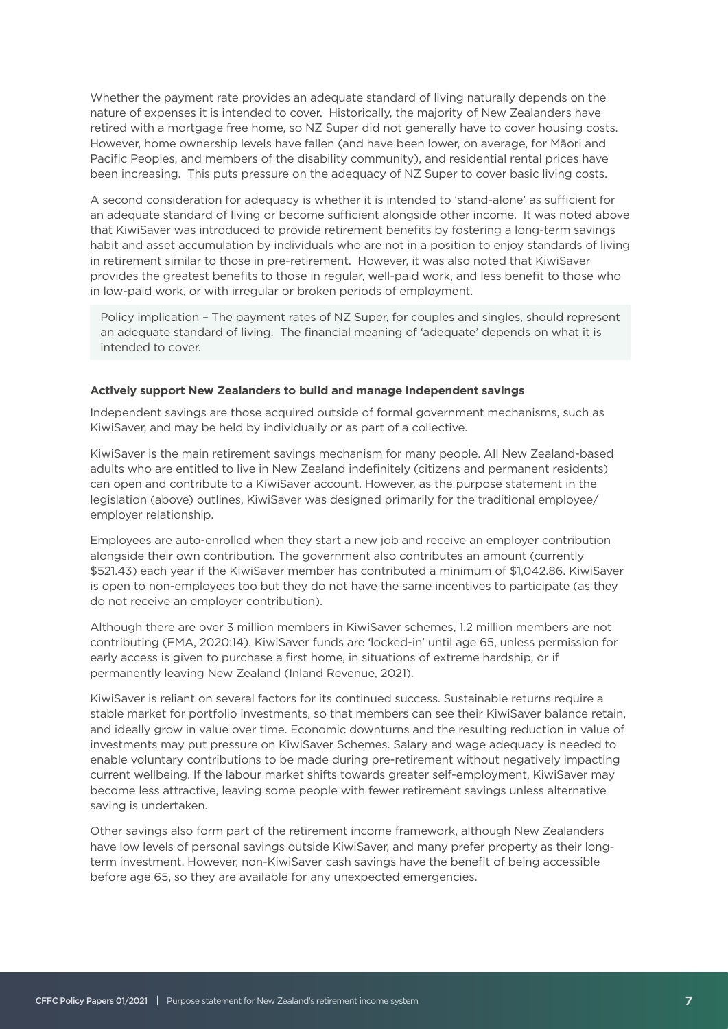Whether the payment rate provides an adequate standard of living naturally depends on the nature of expenses it is intended to cover. Historically, the majority of New Zealanders have retired with a mortgage free home, so NZ Super did not generally have to cover housing costs. However, home ownership levels have fallen (and have been lower, on average, for Māori and Pacific Peoples, and members of the disability community), and residential rental prices have been increasing. This puts pressure on the adequacy of NZ Super to cover basic living costs.

A second consideration for adequacy is whether it is intended to 'stand-alone' as sufficient for an adequate standard of living or become sufficient alongside other income. It was noted above that KiwiSaver was introduced to provide retirement benefits by fostering a long-term savings habit and asset accumulation by individuals who are not in a position to enjoy standards of living in retirement similar to those in pre-retirement. However, it was also noted that KiwiSaver provides the greatest benefits to those in regular, well-paid work, and less benefit to those who in low-paid work, or with irregular or broken periods of employment.

Policy implication – The payment rates of NZ Super, for couples and singles, should represent an adequate standard of living. The financial meaning of 'adequate' depends on what it is intended to cover.

#### **Actively support New Zealanders to build and manage independent savings**

Independent savings are those acquired outside of formal government mechanisms, such as KiwiSaver, and may be held by individually or as part of a collective.

KiwiSaver is the main retirement savings mechanism for many people. All New Zealand-based adults who are entitled to live in New Zealand indefinitely (citizens and permanent residents) can open and contribute to a KiwiSaver account. However, as the purpose statement in the legislation (above) outlines, KiwiSaver was designed primarily for the traditional employee/ employer relationship.

Employees are auto-enrolled when they start a new job and receive an employer contribution alongside their own contribution. The government also contributes an amount (currently \$521.43) each year if the KiwiSaver member has contributed a minimum of \$1,042.86. KiwiSaver is open to non-employees too but they do not have the same incentives to participate (as they do not receive an employer contribution).

Although there are over 3 million members in KiwiSaver schemes, 1.2 million members are not contributing (FMA, 2020:14). KiwiSaver funds are 'locked-in' until age 65, unless permission for early access is given to purchase a first home, in situations of extreme hardship, or if permanently leaving New Zealand (Inland Revenue, 2021).

KiwiSaver is reliant on several factors for its continued success. Sustainable returns require a stable market for portfolio investments, so that members can see their KiwiSaver balance retain, and ideally grow in value over time. Economic downturns and the resulting reduction in value of investments may put pressure on KiwiSaver Schemes. Salary and wage adequacy is needed to enable voluntary contributions to be made during pre-retirement without negatively impacting current wellbeing. If the labour market shifts towards greater self-employment, KiwiSaver may become less attractive, leaving some people with fewer retirement savings unless alternative saving is undertaken.

Other savings also form part of the retirement income framework, although New Zealanders have low levels of personal savings outside KiwiSaver, and many prefer property as their longterm investment. However, non-KiwiSaver cash savings have the benefit of being accessible before age 65, so they are available for any unexpected emergencies.